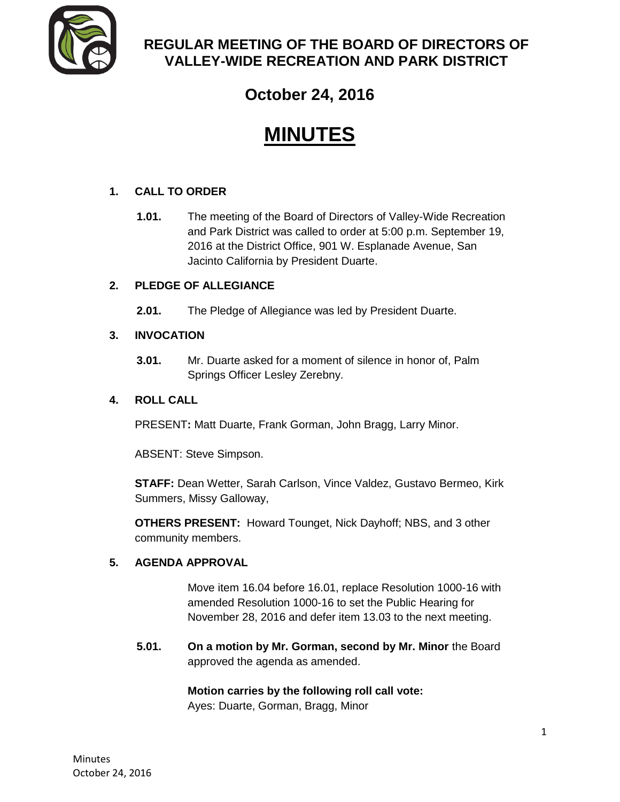

# **REGULAR MEETING OF THE BOARD OF DIRECTORS OF VALLEY-WIDE RECREATION AND PARK DISTRICT**

# **October 24, 2016**

# **MINUTES**

# **1. CALL TO ORDER**

**1.01.** The meeting of the Board of Directors of Valley-Wide Recreation and Park District was called to order at 5:00 p.m. September 19, 2016 at the District Office, 901 W. Esplanade Avenue, San Jacinto California by President Duarte.

# **2. PLEDGE OF ALLEGIANCE**

**2.01.** The Pledge of Allegiance was led by President Duarte.

# **3. INVOCATION**

**3.01.** Mr. Duarte asked for a moment of silence in honor of, Palm Springs Officer Lesley Zerebny.

# **4. ROLL CALL**

PRESENT**:** Matt Duarte, Frank Gorman, John Bragg, Larry Minor.

ABSENT: Steve Simpson.

**STAFF:** Dean Wetter, Sarah Carlson, Vince Valdez, Gustavo Bermeo, Kirk Summers, Missy Galloway,

**OTHERS PRESENT:** Howard Tounget, Nick Dayhoff; NBS, and 3 other community members.

# **5. AGENDA APPROVAL**

Move item 16.04 before 16.01, replace Resolution 1000-16 with amended Resolution 1000-16 to set the Public Hearing for November 28, 2016 and defer item 13.03 to the next meeting.

**5.01. On a motion by Mr. Gorman, second by Mr. Minor** the Board approved the agenda as amended.

> **Motion carries by the following roll call vote:** Ayes: Duarte, Gorman, Bragg, Minor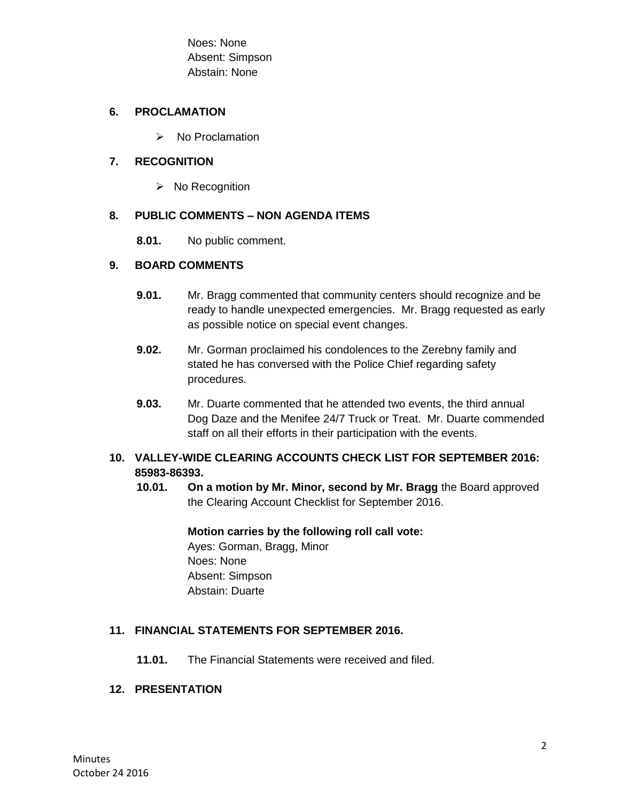Noes: None Absent: Simpson Abstain: None

#### **6. PROCLAMATION**

 $\triangleright$  No Proclamation

### **7. RECOGNITION**

 $\triangleright$  No Recognition

### **8. PUBLIC COMMENTS – NON AGENDA ITEMS**

**8.01.** No public comment.

# **9. BOARD COMMENTS**

- **9.01.** Mr. Bragg commented that community centers should recognize and be ready to handle unexpected emergencies. Mr. Bragg requested as early as possible notice on special event changes.
- **9.02.** Mr. Gorman proclaimed his condolences to the Zerebny family and stated he has conversed with the Police Chief regarding safety procedures.
- **9.03.** Mr. Duarte commented that he attended two events, the third annual Dog Daze and the Menifee 24/7 Truck or Treat. Mr. Duarte commended staff on all their efforts in their participation with the events.

# **10. VALLEY-WIDE CLEARING ACCOUNTS CHECK LIST FOR SEPTEMBER 2016: 85983-86393.**

**10.01. On a motion by Mr. Minor, second by Mr. Bragg** the Board approved the Clearing Account Checklist for September 2016.

#### **Motion carries by the following roll call vote:**

Ayes: Gorman, Bragg, Minor Noes: None Absent: Simpson Abstain: Duarte

# **11. FINANCIAL STATEMENTS FOR SEPTEMBER 2016.**

**11.01.** The Financial Statements were received and filed.

#### **12. PRESENTATION**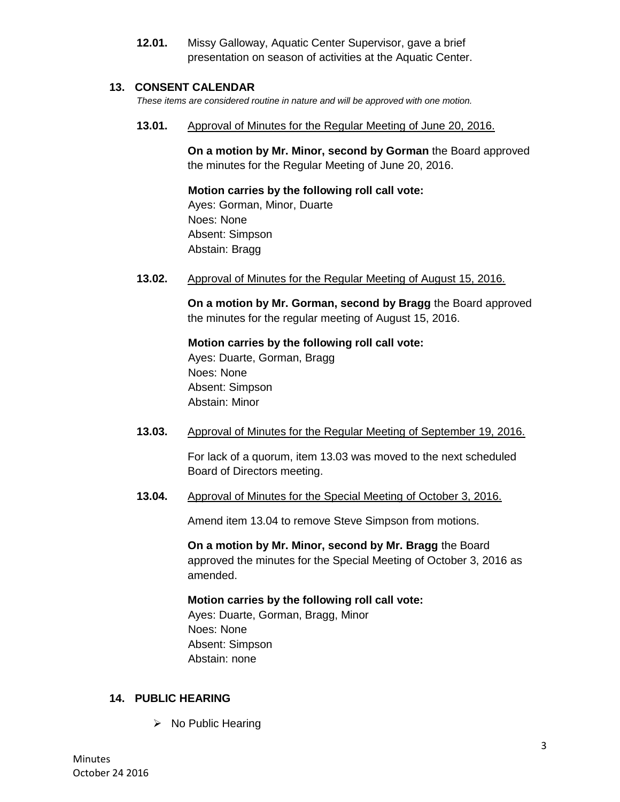**12.01.** Missy Galloway, Aquatic Center Supervisor, gave a brief presentation on season of activities at the Aquatic Center.

#### **13. CONSENT CALENDAR**

*These items are considered routine in nature and will be approved with one motion.* 

**13.01.** Approval of Minutes for the Regular Meeting of June 20, 2016.

**On a motion by Mr. Minor, second by Gorman** the Board approved the minutes for the Regular Meeting of June 20, 2016.

**Motion carries by the following roll call vote:** 

Ayes: Gorman, Minor, Duarte Noes: None Absent: Simpson Abstain: Bragg

**13.02.** Approval of Minutes for the Regular Meeting of August 15, 2016.

**On a motion by Mr. Gorman, second by Bragg** the Board approved the minutes for the regular meeting of August 15, 2016.

**Motion carries by the following roll call vote:**  Ayes: Duarte, Gorman, Bragg Noes: None Absent: Simpson Abstain: Minor

**13.03.** Approval of Minutes for the Regular Meeting of September 19, 2016.

For lack of a quorum, item 13.03 was moved to the next scheduled Board of Directors meeting.

**13.04.** Approval of Minutes for the Special Meeting of October 3, 2016.

Amend item 13.04 to remove Steve Simpson from motions.

**On a motion by Mr. Minor, second by Mr. Bragg** the Board approved the minutes for the Special Meeting of October 3, 2016 as amended.

#### **Motion carries by the following roll call vote:**

Ayes: Duarte, Gorman, Bragg, Minor Noes: None Absent: Simpson Abstain: none

# **14. PUBLIC HEARING**

 $\triangleright$  No Public Hearing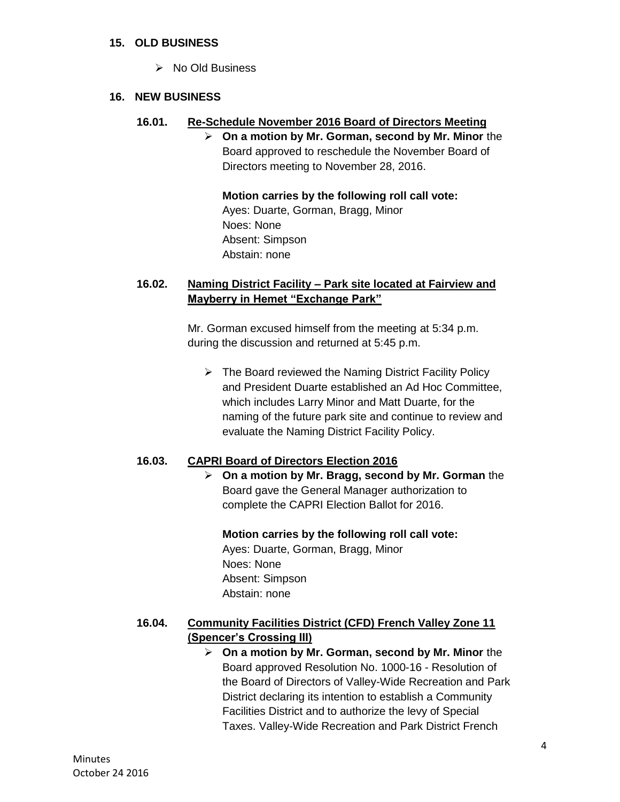#### **15. OLD BUSINESS**

 $\triangleright$  No Old Business

#### **16. NEW BUSINESS**

#### **16.01. Re-Schedule November 2016 Board of Directors Meeting**

 **On a motion by Mr. Gorman, second by Mr. Minor** the Board approved to reschedule the November Board of Directors meeting to November 28, 2016.

**Motion carries by the following roll call vote:**  Ayes: Duarte, Gorman, Bragg, Minor Noes: None Absent: Simpson Abstain: none

## **16.02. Naming District Facility – Park site located at Fairview and Mayberry in Hemet "Exchange Park"**

Mr. Gorman excused himself from the meeting at 5:34 p.m. during the discussion and returned at 5:45 p.m.

 $\triangleright$  The Board reviewed the Naming District Facility Policy and President Duarte established an Ad Hoc Committee, which includes Larry Minor and Matt Duarte, for the naming of the future park site and continue to review and evaluate the Naming District Facility Policy.

#### **16.03. CAPRI Board of Directors Election 2016**

 **On a motion by Mr. Bragg, second by Mr. Gorman** the Board gave the General Manager authorization to complete the CAPRI Election Ballot for 2016.

#### **Motion carries by the following roll call vote:**

Ayes: Duarte, Gorman, Bragg, Minor Noes: None Absent: Simpson Abstain: none

# **16.04. Community Facilities District (CFD) French Valley Zone 11 (Spencer's Crossing III)**

 **On a motion by Mr. Gorman, second by Mr. Minor** the Board approved Resolution No. 1000-16 - Resolution of the Board of Directors of Valley-Wide Recreation and Park District declaring its intention to establish a Community Facilities District and to authorize the levy of Special Taxes. Valley-Wide Recreation and Park District French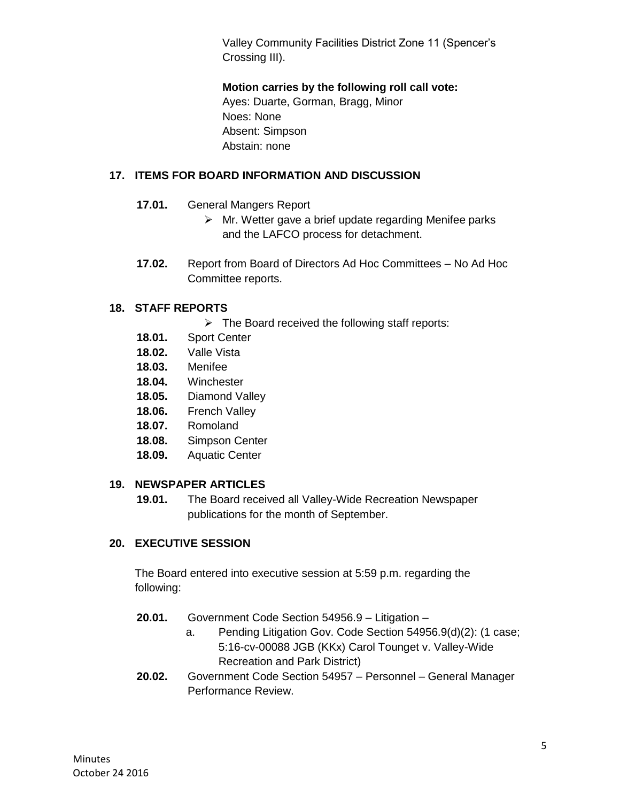Valley Community Facilities District Zone 11 (Spencer's Crossing III).

**Motion carries by the following roll call vote:** 

Ayes: Duarte, Gorman, Bragg, Minor Noes: None Absent: Simpson Abstain: none

# **17. ITEMS FOR BOARD INFORMATION AND DISCUSSION**

- **17.01.** General Mangers Report
	- $\triangleright$  Mr. Wetter gave a brief update regarding Menifee parks and the LAFCO process for detachment.
- **17.02.** Report from Board of Directors Ad Hoc Committees No Ad Hoc Committee reports.

# **18. STAFF REPORTS**

- $\triangleright$  The Board received the following staff reports:
- **18.01.** Sport Center
- **18.02.** Valle Vista
- **18.03.** Menifee
- **18.04.** Winchester
- **18.05.** Diamond Valley
- **18.06.** French Valley
- **18.07.** Romoland
- **18.08.** Simpson Center
- **18.09.** Aquatic Center

#### **19. NEWSPAPER ARTICLES**

**19.01.** The Board received all Valley-Wide Recreation Newspaper publications for the month of September.

# **20. EXECUTIVE SESSION**

The Board entered into executive session at 5:59 p.m. regarding the following:

- **20.01.** Government Code Section 54956.9 Litigation
	- a. Pending Litigation Gov. Code Section 54956.9(d)(2): (1 case; 5:16-cv-00088 JGB (KKx) Carol Tounget v. Valley-Wide Recreation and Park District)
- **20.02.** Government Code Section 54957 Personnel General Manager Performance Review.